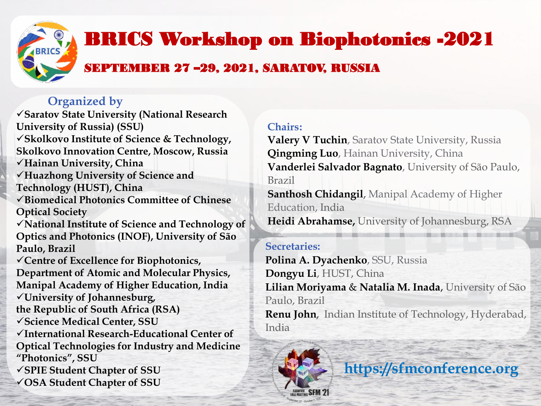

# **BRICS Workshop on Biophotonics -2021**

## SEPTEMBER 27 –29, 2021, SARATOV, RUSSIA

### **Organized by**

**OSA Student Chapter of SSU** 

**Saratov State University (National Research University of Russia) (SSU) Skolkovo Institute of Science & Technology, Skolkovo Innovation Centre, Moscow, Russia Hainan University, China Huazhong University of Science and Technology (HUST), China Biomedical Photonics Committee of Chinese Optical Society National Institute of Science and Technology of Optics and Photonics (INOF), University of São Paulo, Brazil Centre of Excellence for Biophotonics, Department of Atomic and Molecular Physics, Manipal Academy of Higher Education, India University of Johannesburg, the Republic of South Africa (RSA) Science Medical Center, SSU International Research-Educational Center of Optical Technologies for Industry and Medicine "Photonics", SSU SPIE Student Chapter of SSU**

**Chairs:**

**Valery V Tuchin**, Saratov State University, Russia **Qingming Luo**, Hainan University, China **Vanderlei Salvador Bagnato**, University of São Paulo, Brazil

**Santhosh Chidangil,** Manipal Academy of Higher Education, India

#### **Heidi Abrahamse,** University of Johannesburg, RSA

#### **Secretaries:**

**Polina A. Dyachenko**, SSU, Russia **Dongyu Li**, HUST, China **Lilian Moriyama** & **Natalia M. Inada**, University of São Paulo, Brazil **Renu John,** Indian Institute of Technology, Hyderabad, India

**https://sfmconference.org** 

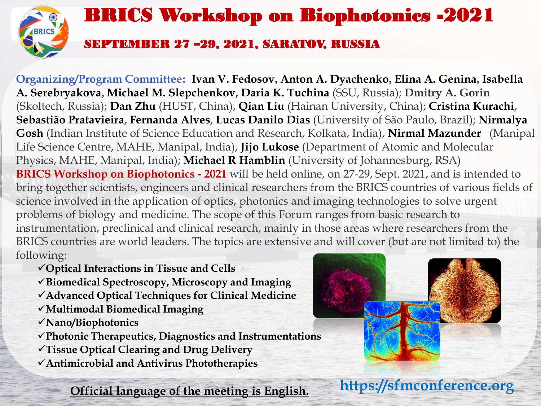

**Organizing/Program Committee: Ivan V. Fedosov, Anton A. Dyachenko, Elina A. Genina, Isabella A. Serebryakova, Michael M. Slepchenkov, Daria K. Tuchina** (SSU, Russia); **Dmitry A. Gorin** (Skoltech, Russia); **Dan Zhu** (HUST, China), **Qian Liu** (Hainan University, China); **Cristina Kurachi, Sebastião Pratavieira, Fernanda Alves, Lucas Danilo Dias** (University of São Paulo, Brazil); **Nirmalya Gosh** (Indian Institute of Science Education and Research, Kolkata, India), **Nirmal Mazunder** (Manipal Life Science Centre, MAHE, Manipal, India), **Jijo Lukose** (Department of Atomic and Molecular Physics, MAHE, Manipal, India); **Michael R Hamblin** (University of Johannesburg, RSA) **BRICS Workshop on Biophotonics - 2021** will be held online, on 27-29, Sept. 2021, and is intended to bring together scientists, engineers and clinical researchers from the BRICS countries of various fields of science involved in the application of optics, photonics and imaging technologies to solve urgent problems of biology and medicine. The scope of this Forum ranges from basic research to instrumentation, preclinical and clinical research, mainly in those areas where researchers from the BRICS countries are world leaders. The topics are extensive and will cover (but are not limited to) the following:

**Optical Interactions in Tissue and Cells**

**Biomedical Spectroscopy, Microscopy and Imaging**

- **Advanced Optical Techniques for Clinical Medicine**
- **Multimodal Biomedical Imaging**

**Nano/Biophotonics**

**Photonic Therapeutics, Diagnostics and Instrumentations**

- **Tissue Optical Clearing and Drug Delivery**
- **Antimicrobial and Antivirus Phototherapies**

**Official language of the meeting is English.**



**https://sfmconference.org**